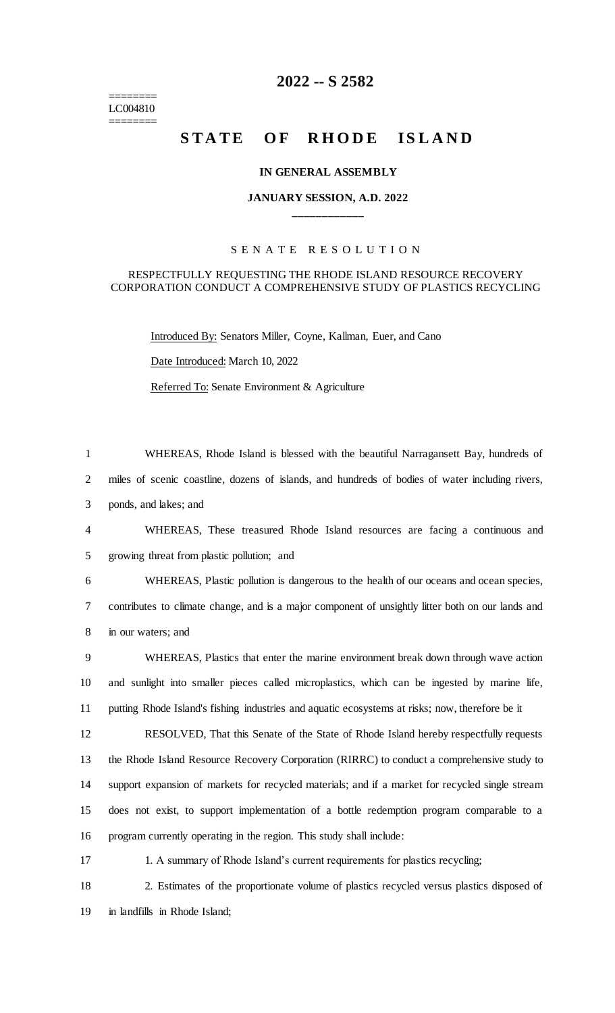======== LC004810 ========

## **2022 -- S 2582**

# **STATE OF RHODE ISLAND**

#### **IN GENERAL ASSEMBLY**

### **JANUARY SESSION, A.D. 2022 \_\_\_\_\_\_\_\_\_\_\_\_**

### S E N A T E R E S O L U T I O N

#### RESPECTFULLY REQUESTING THE RHODE ISLAND RESOURCE RECOVERY CORPORATION CONDUCT A COMPREHENSIVE STUDY OF PLASTICS RECYCLING

Introduced By: Senators Miller, Coyne, Kallman, Euer, and Cano Date Introduced: March 10, 2022 Referred To: Senate Environment & Agriculture

 WHEREAS, Rhode Island is blessed with the beautiful Narragansett Bay, hundreds of miles of scenic coastline, dozens of islands, and hundreds of bodies of water including rivers, ponds, and lakes; and WHEREAS, These treasured Rhode Island resources are facing a continuous and growing threat from plastic pollution; and WHEREAS, Plastic pollution is dangerous to the health of our oceans and ocean species, contributes to climate change, and is a major component of unsightly litter both on our lands and in our waters; and WHEREAS, Plastics that enter the marine environment break down through wave action and sunlight into smaller pieces called microplastics, which can be ingested by marine life, putting Rhode Island's fishing industries and aquatic ecosystems at risks; now, therefore be it RESOLVED, That this Senate of the State of Rhode Island hereby respectfully requests the Rhode Island Resource Recovery Corporation (RIRRC) to conduct a comprehensive study to support expansion of markets for recycled materials; and if a market for recycled single stream does not exist, to support implementation of a bottle redemption program comparable to a program currently operating in the region. This study shall include: 17 1. A summary of Rhode Island's current requirements for plastics recycling; 2. Estimates of the proportionate volume of plastics recycled versus plastics disposed of

19 in landfills in Rhode Island;